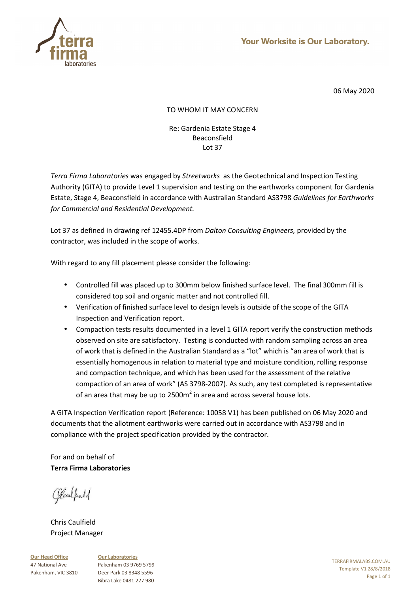

# TO WHOM IT MAY CONCERN

### Re: Gardenia Estate Stage 4 Beaconsfield Lot 37

*Terra Firma Laboratories* was engaged by *Streetworks* as the Geotechnical and Inspection Testing Authority (GITA) to provide Level 1 supervision and testing on the earthworks component for Gardenia Estate, Stage 4, Beaconsfield in accordance with Australian Standard AS3798 *Guidelines for Earthworks for Commercial and Residential Development.* 

Lot 37 as defined in drawing ref 12455.4DP from *Dalton Consulting Engineers,* provided by the contractor, was included in the scope of works.

With regard to any fill placement please consider the following:

- Controlled fill was placed up to 300mm below finished surface level. The final 300mm fill is considered top soil and organic matter and not controlled fill.
- Verification of finished surface level to design levels is outside of the scope of the GITA Inspection and Verification report.
- Compaction tests results documented in a level 1 GITA report verify the construction methods observed on site are satisfactory. Testing is conducted with random sampling across an area of work that is defined in the Australian Standard as a "lot" which is "an area of work that is essentially homogenous in relation to material type and moisture condition, rolling response and compaction technique, and which has been used for the assessment of the relative compaction of an area of work" (AS 3798-2007). As such, any test completed is representative of an area that may be up to 2500m<sup>2</sup> in area and across several house lots.

A GITA Inspection Verification report (Reference: 10058 V1) has been published on 06 May 2020 and documents that the allotment earthworks were carried out in accordance with AS3798 and in compliance with the project specification provided by the contractor.

For and on behalf of **Terra Firma Laboratories** 

Claubell

Chris Caulfield Project Manager

**Our Head Office** 47 National Ave Pakenham, VIC 3810 **Our Laboratories** Pakenham 03 9769 5799 Deer Park 03 8348 5596 Bibra Lake 0481 227 980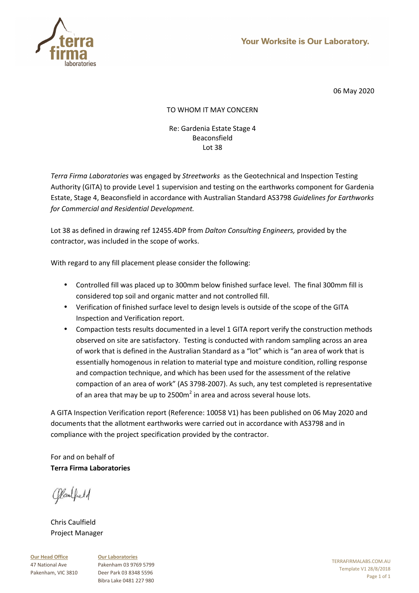

# TO WHOM IT MAY CONCERN

### Re: Gardenia Estate Stage 4 Beaconsfield Lot 38

*Terra Firma Laboratories* was engaged by *Streetworks* as the Geotechnical and Inspection Testing Authority (GITA) to provide Level 1 supervision and testing on the earthworks component for Gardenia Estate, Stage 4, Beaconsfield in accordance with Australian Standard AS3798 *Guidelines for Earthworks for Commercial and Residential Development.* 

Lot 38 as defined in drawing ref 12455.4DP from *Dalton Consulting Engineers,* provided by the contractor, was included in the scope of works.

With regard to any fill placement please consider the following:

- Controlled fill was placed up to 300mm below finished surface level. The final 300mm fill is considered top soil and organic matter and not controlled fill.
- Verification of finished surface level to design levels is outside of the scope of the GITA Inspection and Verification report.
- Compaction tests results documented in a level 1 GITA report verify the construction methods observed on site are satisfactory. Testing is conducted with random sampling across an area of work that is defined in the Australian Standard as a "lot" which is "an area of work that is essentially homogenous in relation to material type and moisture condition, rolling response and compaction technique, and which has been used for the assessment of the relative compaction of an area of work" (AS 3798-2007). As such, any test completed is representative of an area that may be up to 2500m<sup>2</sup> in area and across several house lots.

A GITA Inspection Verification report (Reference: 10058 V1) has been published on 06 May 2020 and documents that the allotment earthworks were carried out in accordance with AS3798 and in compliance with the project specification provided by the contractor.

For and on behalf of **Terra Firma Laboratories** 

Claubell

Chris Caulfield Project Manager

**Our Head Office** 47 National Ave Pakenham, VIC 3810 **Our Laboratories** Pakenham 03 9769 5799 Deer Park 03 8348 5596 Bibra Lake 0481 227 980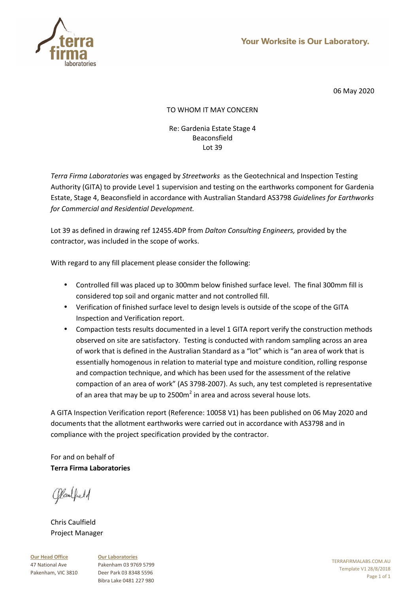

# TO WHOM IT MAY CONCERN

### Re: Gardenia Estate Stage 4 Beaconsfield Lot 39

*Terra Firma Laboratories* was engaged by *Streetworks* as the Geotechnical and Inspection Testing Authority (GITA) to provide Level 1 supervision and testing on the earthworks component for Gardenia Estate, Stage 4, Beaconsfield in accordance with Australian Standard AS3798 *Guidelines for Earthworks for Commercial and Residential Development.* 

Lot 39 as defined in drawing ref 12455.4DP from *Dalton Consulting Engineers,* provided by the contractor, was included in the scope of works.

With regard to any fill placement please consider the following:

- Controlled fill was placed up to 300mm below finished surface level. The final 300mm fill is considered top soil and organic matter and not controlled fill.
- Verification of finished surface level to design levels is outside of the scope of the GITA Inspection and Verification report.
- Compaction tests results documented in a level 1 GITA report verify the construction methods observed on site are satisfactory. Testing is conducted with random sampling across an area of work that is defined in the Australian Standard as a "lot" which is "an area of work that is essentially homogenous in relation to material type and moisture condition, rolling response and compaction technique, and which has been used for the assessment of the relative compaction of an area of work" (AS 3798-2007). As such, any test completed is representative of an area that may be up to 2500m<sup>2</sup> in area and across several house lots.

A GITA Inspection Verification report (Reference: 10058 V1) has been published on 06 May 2020 and documents that the allotment earthworks were carried out in accordance with AS3798 and in compliance with the project specification provided by the contractor.

For and on behalf of **Terra Firma Laboratories** 

Claubell

Chris Caulfield Project Manager

**Our Head Office** 47 National Ave Pakenham, VIC 3810 **Our Laboratories** Pakenham 03 9769 5799 Deer Park 03 8348 5596 Bibra Lake 0481 227 980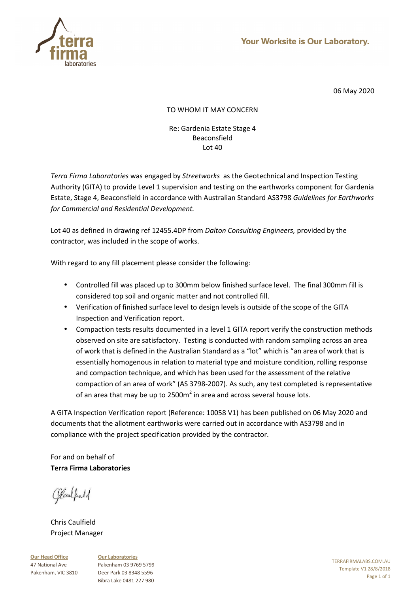

# TO WHOM IT MAY CONCERN

### Re: Gardenia Estate Stage 4 Beaconsfield Lot 40

*Terra Firma Laboratories* was engaged by *Streetworks* as the Geotechnical and Inspection Testing Authority (GITA) to provide Level 1 supervision and testing on the earthworks component for Gardenia Estate, Stage 4, Beaconsfield in accordance with Australian Standard AS3798 *Guidelines for Earthworks for Commercial and Residential Development.* 

Lot 40 as defined in drawing ref 12455.4DP from *Dalton Consulting Engineers,* provided by the contractor, was included in the scope of works.

With regard to any fill placement please consider the following:

- Controlled fill was placed up to 300mm below finished surface level. The final 300mm fill is considered top soil and organic matter and not controlled fill.
- Verification of finished surface level to design levels is outside of the scope of the GITA Inspection and Verification report.
- Compaction tests results documented in a level 1 GITA report verify the construction methods observed on site are satisfactory. Testing is conducted with random sampling across an area of work that is defined in the Australian Standard as a "lot" which is "an area of work that is essentially homogenous in relation to material type and moisture condition, rolling response and compaction technique, and which has been used for the assessment of the relative compaction of an area of work" (AS 3798-2007). As such, any test completed is representative of an area that may be up to 2500m<sup>2</sup> in area and across several house lots.

A GITA Inspection Verification report (Reference: 10058 V1) has been published on 06 May 2020 and documents that the allotment earthworks were carried out in accordance with AS3798 and in compliance with the project specification provided by the contractor.

For and on behalf of **Terra Firma Laboratories** 

Claubell

Chris Caulfield Project Manager

**Our Head Office** 47 National Ave Pakenham, VIC 3810 **Our Laboratories** Pakenham 03 9769 5799 Deer Park 03 8348 5596 Bibra Lake 0481 227 980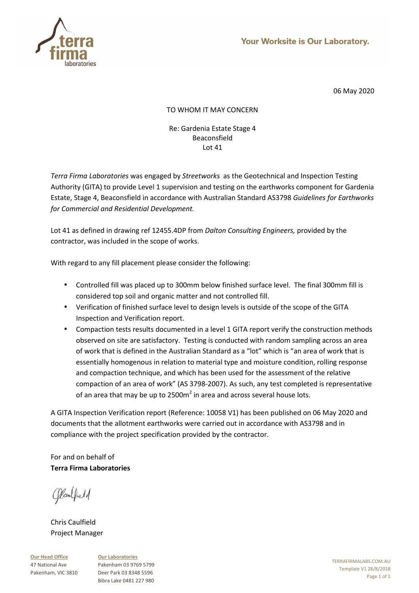

# TO WHOM IT MAY CONCERN

### Re: Gardenia Estate Stage 4 Beaconsfield Lot 41

*Terra Firma Laboratories* was engaged by *Streetworks* as the Geotechnical and Inspection Testing Authority (GITA) to provide Level 1 supervision and testing on the earthworks component for Gardenia Estate, Stage 4, Beaconsfield in accordance with Australian Standard AS3798 *Guidelines for Earthworks for Commercial and Residential Development.* 

Lot 41 as defined in drawing ref 12455.4DP from *Dalton Consulting Engineers,* provided by the contractor, was included in the scope of works.

With regard to any fill placement please consider the following:

- Controlled fill was placed up to 300mm below finished surface level. The final 300mm fill is considered top soil and organic matter and not controlled fill.
- Verification of finished surface level to design levels is outside of the scope of the GITA Inspection and Verification report.
- Compaction tests results documented in a level 1 GITA report verify the construction methods observed on site are satisfactory. Testing is conducted with random sampling across an area of work that is defined in the Australian Standard as a "lot" which is "an area of work that is essentially homogenous in relation to material type and moisture condition, rolling response and compaction technique, and which has been used for the assessment of the relative compaction of an area of work" (AS 3798-2007). As such, any test completed is representative of an area that may be up to 2500m<sup>2</sup> in area and across several house lots.

A GITA Inspection Verification report (Reference: 10058 V1) has been published on 06 May 2020 and documents that the allotment earthworks were carried out in accordance with AS3798 and in compliance with the project specification provided by the contractor.

For and on behalf of **Terra Firma Laboratories** 

Claubell

Chris Caulfield Project Manager

**Our Head Office** 47 National Ave Pakenham, VIC 3810 **Our Laboratories** Pakenham 03 9769 5799 Deer Park 03 8348 5596 Bibra Lake 0481 227 980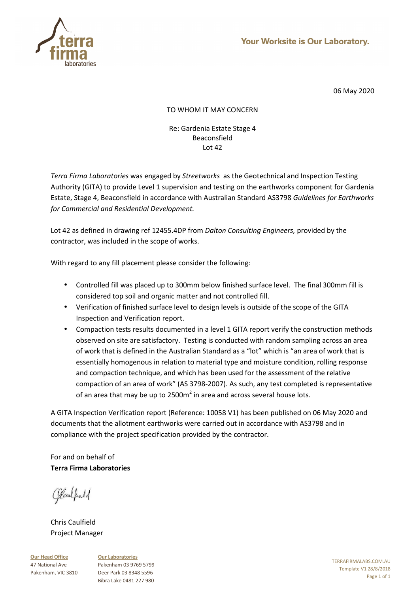

# TO WHOM IT MAY CONCERN

### Re: Gardenia Estate Stage 4 Beaconsfield Lot 42

*Terra Firma Laboratories* was engaged by *Streetworks* as the Geotechnical and Inspection Testing Authority (GITA) to provide Level 1 supervision and testing on the earthworks component for Gardenia Estate, Stage 4, Beaconsfield in accordance with Australian Standard AS3798 *Guidelines for Earthworks for Commercial and Residential Development.* 

Lot 42 as defined in drawing ref 12455.4DP from *Dalton Consulting Engineers,* provided by the contractor, was included in the scope of works.

With regard to any fill placement please consider the following:

- Controlled fill was placed up to 300mm below finished surface level. The final 300mm fill is considered top soil and organic matter and not controlled fill.
- Verification of finished surface level to design levels is outside of the scope of the GITA Inspection and Verification report.
- Compaction tests results documented in a level 1 GITA report verify the construction methods observed on site are satisfactory. Testing is conducted with random sampling across an area of work that is defined in the Australian Standard as a "lot" which is "an area of work that is essentially homogenous in relation to material type and moisture condition, rolling response and compaction technique, and which has been used for the assessment of the relative compaction of an area of work" (AS 3798-2007). As such, any test completed is representative of an area that may be up to 2500m<sup>2</sup> in area and across several house lots.

A GITA Inspection Verification report (Reference: 10058 V1) has been published on 06 May 2020 and documents that the allotment earthworks were carried out in accordance with AS3798 and in compliance with the project specification provided by the contractor.

For and on behalf of **Terra Firma Laboratories** 

Claubell

Chris Caulfield Project Manager

**Our Head Office** 47 National Ave Pakenham, VIC 3810 **Our Laboratories** Pakenham 03 9769 5799 Deer Park 03 8348 5596 Bibra Lake 0481 227 980